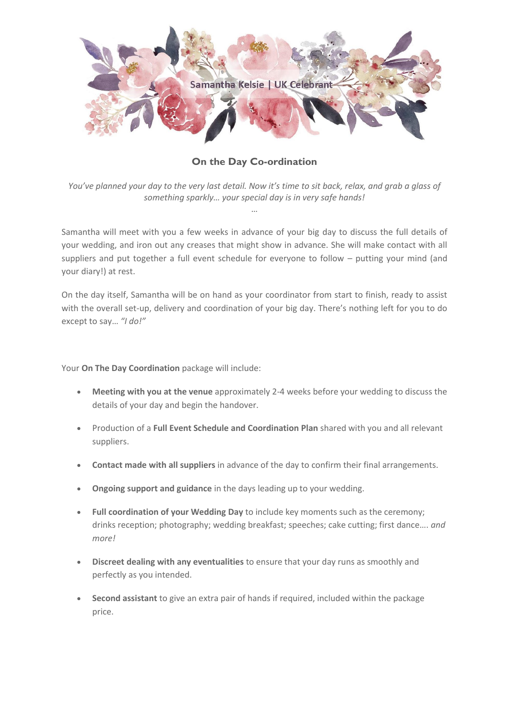

**On the Day Co-ordination**

*You've planned your day to the very last detail. Now it's time to sit back, relax, and grab a glass of something sparkly… your special day is in very safe hands!* …

Samantha will meet with you a few weeks in advance of your big day to discuss the full details of your wedding, and iron out any creases that might show in advance. She will make contact with all suppliers and put together a full event schedule for everyone to follow – putting your mind (and your diary!) at rest.

On the day itself, Samantha will be on hand as your coordinator from start to finish, ready to assist with the overall set-up, delivery and coordination of your big day. There's nothing left for you to do except to say… *"I do!"*

Your **On The Day Coordination** package will include:

- **Meeting with you at the venue** approximately 2-4 weeks before your wedding to discuss the details of your day and begin the handover.
- Production of a **Full Event Schedule and Coordination Plan** shared with you and all relevant suppliers.
- **Contact made with all suppliers** in advance of the day to confirm their final arrangements.
- **Ongoing support and guidance** in the days leading up to your wedding.
- **Full coordination of your Wedding Day** to include key moments such as the ceremony; drinks reception; photography; wedding breakfast; speeches; cake cutting; first dance…. *and more!*
- **Discreet dealing with any eventualities** to ensure that your day runs as smoothly and perfectly as you intended.
- **Second assistant** to give an extra pair of hands if required, included within the package price.